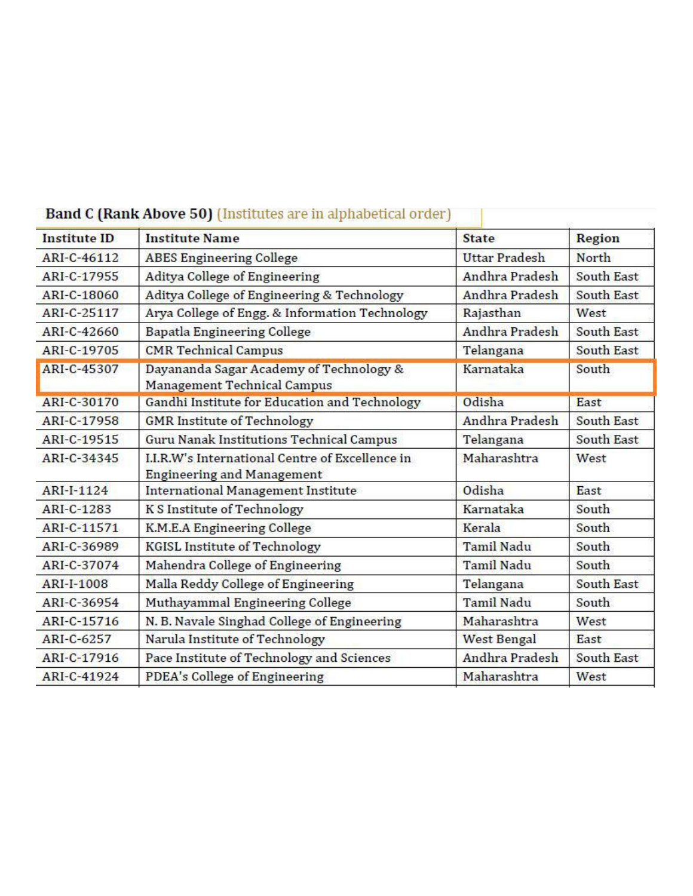| <b>Institute ID</b> | <b>Institute Name</b>                                                              | <b>State</b>          | Region            |
|---------------------|------------------------------------------------------------------------------------|-----------------------|-------------------|
| ARI-C-46112         | <b>ABES Engineering College</b>                                                    | <b>Uttar Pradesh</b>  | North             |
| ARI-C-17955         | Aditya College of Engineering                                                      | Andhra Pradesh        | South East        |
| ARI-C-18060         | Aditya College of Engineering & Technology                                         | Andhra Pradesh        | South East        |
| ARI-C-25117         | Arya College of Engg. & Information Technology                                     | Rajasthan             | West              |
| ARI-C-42660         | Bapatla Engineering College                                                        | <b>Andhra Pradesh</b> | South East        |
| ARI-C-19705         | <b>CMR Technical Campus</b>                                                        | Telangana             | South East        |
| ARI-C-45307         | Dayananda Sagar Academy of Technology &<br><b>Management Technical Campus</b>      | Karnataka             |                   |
| ARI-C-30170         | Gandhi Institute for Education and Technology                                      | Odisha                | East              |
| ARI-C-17958         | <b>GMR</b> Institute of Technology                                                 | <b>Andhra Pradesh</b> | <b>South East</b> |
| ARI-C-19515         | Guru Nanak Institutions Technical Campus                                           | Telangana             | South East        |
| ARI-C-34345         | LLR.W's International Centre of Excellence in<br><b>Engineering and Management</b> | Maharashtra           | West              |
| ARI-I-1124          | <b>International Management Institute</b>                                          | Odisha                | East              |
| ARI-C-1283          | K S Institute of Technology                                                        | Karnataka             | South             |
| ARI-C-11571         | K.M.E.A Engineering College                                                        | Kerala                | South             |
| ARI-C-36989         | <b>KGISL Institute of Technology</b>                                               | <b>Tamil Nadu</b>     | South             |
| ARI-C-37074         | Mahendra College of Engineering                                                    | <b>Tamil Nadu</b>     | South             |
| ARI-I-1008          | Malla Reddy College of Engineering                                                 | Telangana             | <b>South East</b> |
| ARI-C-36954         | Muthayammal Engineering College                                                    | <b>Tamil Nadu</b>     | South             |
| ARI-C-15716         | N. B. Navale Singhad College of Engineering                                        | Maharashtra           | West              |
| ARI-C-6257          | Narula Institute of Technology                                                     | <b>West Bengal</b>    | East              |
| ARI-C-17916         | Pace Institute of Technology and Sciences                                          | <b>Andhra Pradesh</b> | South East        |
| ARI-C-41924         | PDEA's College of Engineering                                                      | Maharashtra           | West              |

## **Band C (Rank Above 50)** (Institutes are in alphabetical order)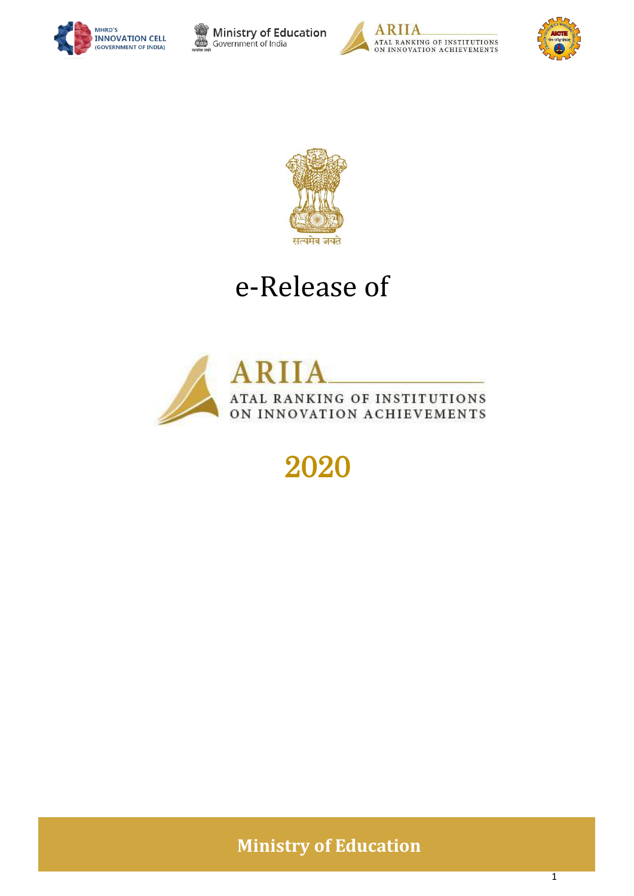









# e-Release of



## 2020

 **Ministry of Education**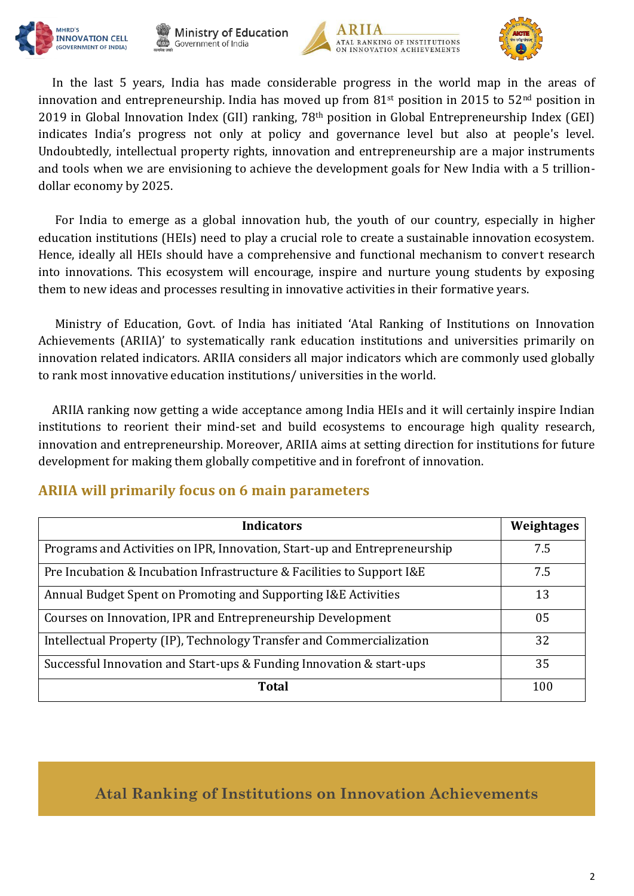







 In the last 5 years, India has made considerable progress in the world map in the areas of innovation and entrepreneurship. India has moved up from 81<sup>st</sup> position in 2015 to 52<sup>nd</sup> position in 2019 in Global Innovation Index (GII) ranking, 78th position in Global Entrepreneurship Index (GEI) indicates India's progress not only at policy and governance level but also at people's level. Undoubtedly, intellectual property rights, innovation and entrepreneurship are a major instruments and tools when we are envisioning to achieve the development goals for New India with a 5 trilliondollar economy by 2025.

 For India to emerge as a global innovation hub, the youth of our country, especially in higher education institutions (HEIs) need to play a crucial role to create a sustainable innovation ecosystem. Hence, ideally all HEIs should have a comprehensive and functional mechanism to convert research into innovations. This ecosystem will encourage, inspire and nurture young students by exposing them to new ideas and processes resulting in innovative activities in their formative years.

 Ministry of Education, Govt. of India has initiated 'Atal Ranking of Institutions on Innovation Achievements (ARIIA)' to systematically rank education institutions and universities primarily on innovation related indicators. ARIIA considers all major indicators which are commonly used globally to rank most innovative education institutions/ universities in the world.

 ARIIA ranking now getting a wide acceptance among India HEIs and it will certainly inspire Indian institutions to reorient their mind-set and build ecosystems to encourage high quality research, innovation and entrepreneurship. Moreover, ARIIA aims at setting direction for institutions for future development for making them globally competitive and in forefront of innovation.

#### **ARIIA will primarily focus on 6 main parameters**

| <b>Indicators</b>                                                         | Weightages |
|---------------------------------------------------------------------------|------------|
| Programs and Activities on IPR, Innovation, Start-up and Entrepreneurship | 7.5        |
| Pre Incubation & Incubation Infrastructure & Facilities to Support I&E    | 7.5        |
| Annual Budget Spent on Promoting and Supporting I&E Activities            | 13         |
| Courses on Innovation, IPR and Entrepreneurship Development               | 05         |
| Intellectual Property (IP), Technology Transfer and Commercialization     | 32         |
| Successful Innovation and Start-ups & Funding Innovation & start-ups      | 35         |
| <b>Total</b>                                                              | 100        |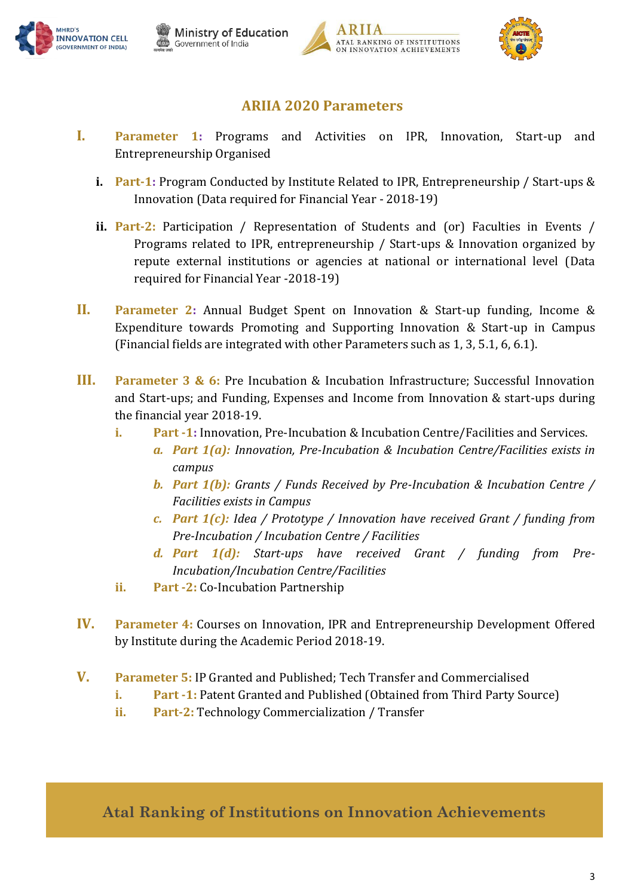







#### **ARIIA 2020 Parameters**

- **I. Parameter 1:** Programs and Activities on IPR, Innovation, Start-up and Entrepreneurship Organised
	- **i. Part-1:** Program Conducted by Institute Related to IPR, Entrepreneurship / Start-ups & Innovation (Data required for Financial Year - 2018-19)
	- **ii. Part-2:** Participation / Representation of Students and (or) Faculties in Events / Programs related to IPR, entrepreneurship / Start-ups & Innovation organized by repute external institutions or agencies at national or international level (Data required for Financial Year -2018-19)
- **II. Parameter 2:** Annual Budget Spent on Innovation & Start-up funding, Income & Expenditure towards Promoting and Supporting Innovation & Start-up in Campus (Financial fields are integrated with other Parameters such as 1, 3, 5.1, 6, 6.1).
- **III. Parameter 3 & 6:** Pre Incubation & Incubation Infrastructure; Successful Innovation and Start-ups; and Funding, Expenses and Income from Innovation & start-ups during the financial year 2018-19.
	- **i. Part -1:** Innovation, Pre-Incubation & Incubation Centre/Facilities and Services.
		- *a. Part 1(a): Innovation, Pre-Incubation & Incubation Centre/Facilities exists in campus*
		- *b. Part 1(b): Grants / Funds Received by Pre-Incubation & Incubation Centre / Facilities exists in Campus*
		- *c. Part 1(c): Idea / Prototype / Innovation have received Grant / funding from Pre-Incubation / Incubation Centre / Facilities*
		- *d. Part 1(d): Start-ups have received Grant / funding from Pre-Incubation/Incubation Centre/Facilities*
	- **ii. Part -2:** Co-Incubation Partnership
- **IV. Parameter 4:** Courses on Innovation, IPR and Entrepreneurship Development Offered by Institute during the Academic Period 2018-19.
- **V. Parameter 5:** IP Granted and Published; Tech Transfer and Commercialised
	- **i. Part -1:** Patent Granted and Published (Obtained from Third Party Source)
	- **ii. Part-2:** Technology Commercialization / Transfer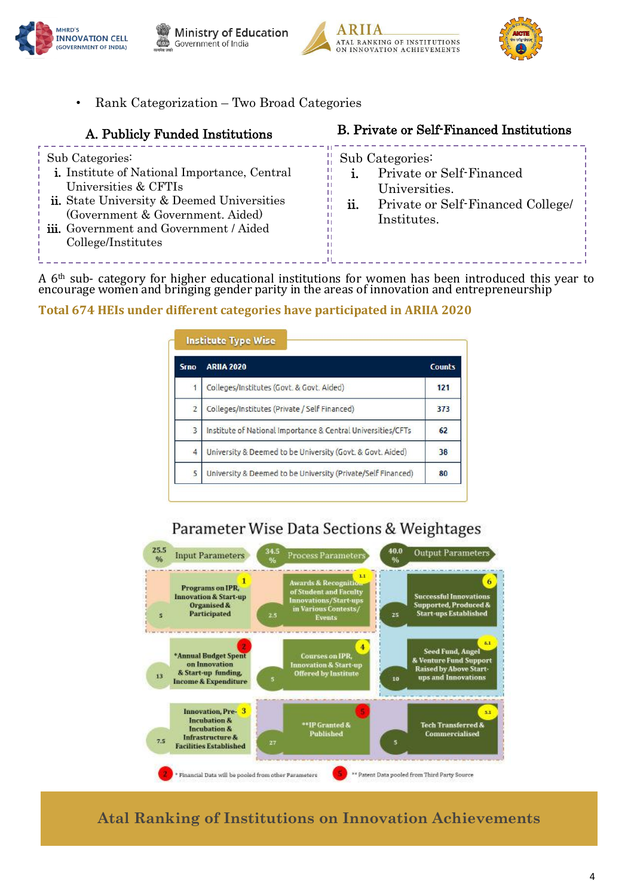







• Rank Categorization – Two Broad Categories

| A. Publicly Funded Institutions                                                                                                                                                                                                                  | <b>B. Private or Self-Financed Institutions</b>                                                                                         |
|--------------------------------------------------------------------------------------------------------------------------------------------------------------------------------------------------------------------------------------------------|-----------------------------------------------------------------------------------------------------------------------------------------|
| Sub Categories:<br><i>i.</i> Institute of National Importance, Central<br>Universities & CFTIs<br>ii. State University & Deemed Universities<br>(Government & Government. Aided)<br>iii. Government and Government / Aided<br>College/Institutes | $\frac{11}{11}$ Sub Categories:<br>Private or Self-Financed<br>Universities.<br>ii.<br>Private or Self-Financed College/<br>Institutes. |

A 6th sub- category for higher educational institutions for women has been introduced this year to encourage women and bringing gender parity in the areas of innovation and entrepreneurship

#### **Total 674 HEIs under different categories have participated in ARIIA 2020**

| <b>Srno</b>    | <b>ARIIA 2020</b>                                            | <b>Counts</b> |
|----------------|--------------------------------------------------------------|---------------|
| 1              | Colleges/Institutes (Govt. & Govt. Aided)                    | 121           |
| $\overline{2}$ | Colleges/Institutes (Private / Self Financed)                | 373           |
| 3              | Institute of National Importance & Central Universities/CFTs | 62            |
| 4              | University & Deemed to be University (Govt. & Govt. Aided)   | 38            |
| 5              | University & Deemed to be University (Private/Self Financed) | 80            |

## Parameter Wise Data Sections & Weightages

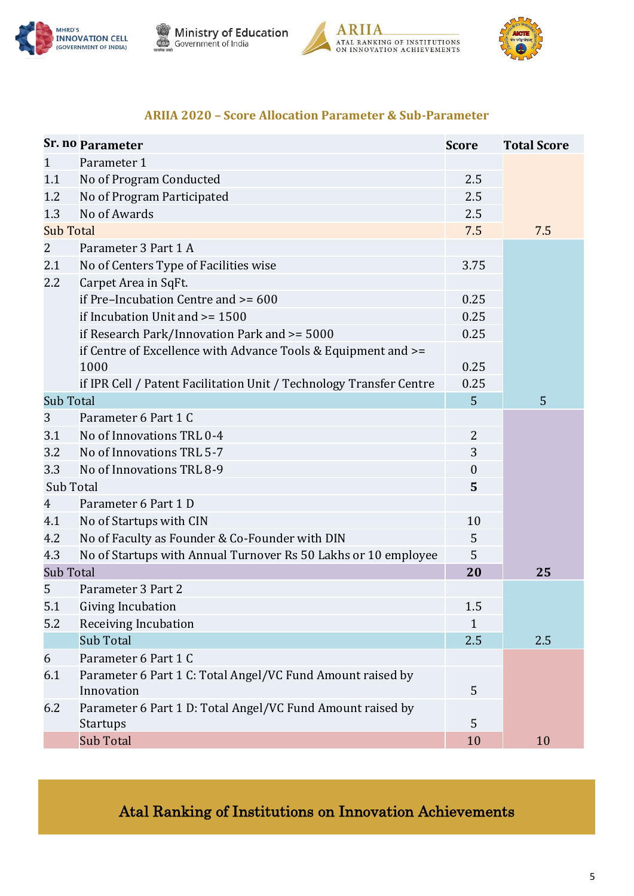







#### **ARIIA 2020 – Score Allocation Parameter & Sub-Parameter**

|                  | Sr. no parameter                                                              | <b>Score</b>     | <b>Total Score</b> |
|------------------|-------------------------------------------------------------------------------|------------------|--------------------|
| $\mathbf{1}$     | Parameter 1                                                                   |                  |                    |
| 1.1              | No of Program Conducted                                                       | 2.5              |                    |
| 1.2              | No of Program Participated                                                    | 2.5              |                    |
| 1.3              | No of Awards                                                                  | 2.5              |                    |
| <b>Sub Total</b> |                                                                               | 7.5              | 7.5                |
| $\overline{2}$   | Parameter 3 Part 1 A                                                          |                  |                    |
| 2.1              | No of Centers Type of Facilities wise                                         | 3.75             |                    |
| 2.2              | Carpet Area in SqFt.                                                          |                  |                    |
|                  | if Pre-Incubation Centre and >= 600                                           | 0.25             |                    |
|                  | if Incubation Unit and >= 1500                                                | 0.25             |                    |
|                  | if Research Park/Innovation Park and >= 5000                                  | 0.25             |                    |
|                  | if Centre of Excellence with Advance Tools & Equipment and >=                 |                  |                    |
|                  | 1000                                                                          | 0.25             |                    |
|                  | if IPR Cell / Patent Facilitation Unit / Technology Transfer Centre           | 0.25             |                    |
| <b>Sub Total</b> |                                                                               | 5                | 5                  |
| 3                | Parameter 6 Part 1 C                                                          |                  |                    |
| 3.1              | No of Innovations TRL 0-4                                                     | 2                |                    |
| 3.2              | No of Innovations TRL 5-7                                                     | 3                |                    |
| 3.3              | No of Innovations TRL 8-9                                                     | $\boldsymbol{0}$ |                    |
| Sub Total        |                                                                               | 5                |                    |
| 4                | Parameter 6 Part 1 D                                                          |                  |                    |
| 4.1              | No of Startups with CIN                                                       | 10               |                    |
| 4.2              | No of Faculty as Founder & Co-Founder with DIN                                | 5                |                    |
| 4.3              | No of Startups with Annual Turnover Rs 50 Lakhs or 10 employee                | 5                |                    |
| <b>Sub Total</b> |                                                                               | 20               | 25                 |
| 5                | Parameter 3 Part 2                                                            |                  |                    |
| 5.1              | Giving Incubation                                                             | 1.5              |                    |
| 5.2              | Receiving Incubation                                                          | $\mathbf{1}$     |                    |
|                  | <b>Sub Total</b>                                                              | 2.5              | 2.5                |
| 6                | Parameter 6 Part 1 C                                                          |                  |                    |
| 6.1              | Parameter 6 Part 1 C: Total Angel/VC Fund Amount raised by<br>Innovation      | 5                |                    |
| 6.2              | Parameter 6 Part 1 D: Total Angel/VC Fund Amount raised by<br><b>Startups</b> | 5                |                    |
|                  | Sub Total                                                                     | 10               | 10                 |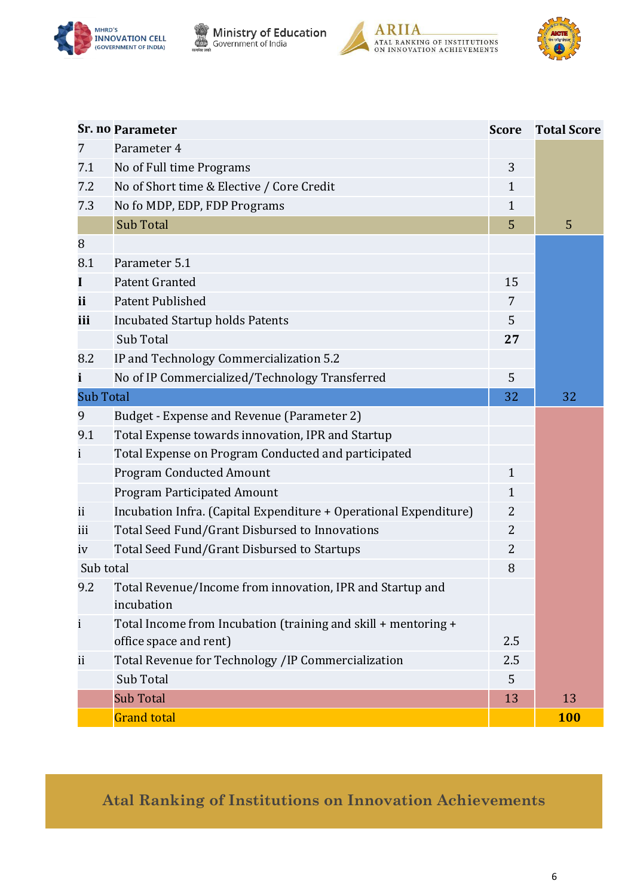







|                  | <b>Sr. no Parameter</b>                                           | <b>Score</b>   | <b>Total Score</b> |
|------------------|-------------------------------------------------------------------|----------------|--------------------|
| 7                | Parameter 4                                                       |                |                    |
| 7.1              | No of Full time Programs                                          | 3              |                    |
| 7.2              | No of Short time & Elective / Core Credit                         | $\mathbf{1}$   |                    |
| 7.3              | No fo MDP, EDP, FDP Programs                                      | 1              |                    |
|                  | <b>Sub Total</b>                                                  | 5              | 5                  |
| 8                |                                                                   |                |                    |
| 8.1              | Parameter 5.1                                                     |                |                    |
| $\bf{I}$         | <b>Patent Granted</b>                                             | 15             |                    |
| ii               | <b>Patent Published</b>                                           | 7              |                    |
| iii              | <b>Incubated Startup holds Patents</b>                            | 5              |                    |
|                  | Sub Total                                                         | 27             |                    |
| 8.2              | IP and Technology Commercialization 5.2                           |                |                    |
| Î.               | No of IP Commercialized/Technology Transferred                    | 5              |                    |
| <b>Sub Total</b> |                                                                   | 32             | 32                 |
| 9                | Budget - Expense and Revenue (Parameter 2)                        |                |                    |
| 9.1              | Total Expense towards innovation, IPR and Startup                 |                |                    |
| i                | Total Expense on Program Conducted and participated               |                |                    |
|                  | <b>Program Conducted Amount</b>                                   | $\mathbf{1}$   |                    |
|                  | Program Participated Amount                                       | $\mathbf{1}$   |                    |
| ii               | Incubation Infra. (Capital Expenditure + Operational Expenditure) | $\overline{2}$ |                    |
| iii              | Total Seed Fund/Grant Disbursed to Innovations                    | 2              |                    |
| iv               | Total Seed Fund/Grant Disbursed to Startups                       | $\overline{2}$ |                    |
| Sub total        |                                                                   | 8              |                    |
| 9.2              | Total Revenue/Income from innovation, IPR and Startup and         |                |                    |
|                  | incubation                                                        |                |                    |
| i                | Total Income from Incubation (training and skill + mentoring +    |                |                    |
|                  | office space and rent)                                            | 2.5            |                    |
| ii               | Total Revenue for Technology /IP Commercialization                | 2.5            |                    |
|                  | Sub Total                                                         | 5              |                    |
|                  | <b>Sub Total</b>                                                  | 13             | 13                 |
|                  | <b>Grand total</b>                                                |                | <b>100</b>         |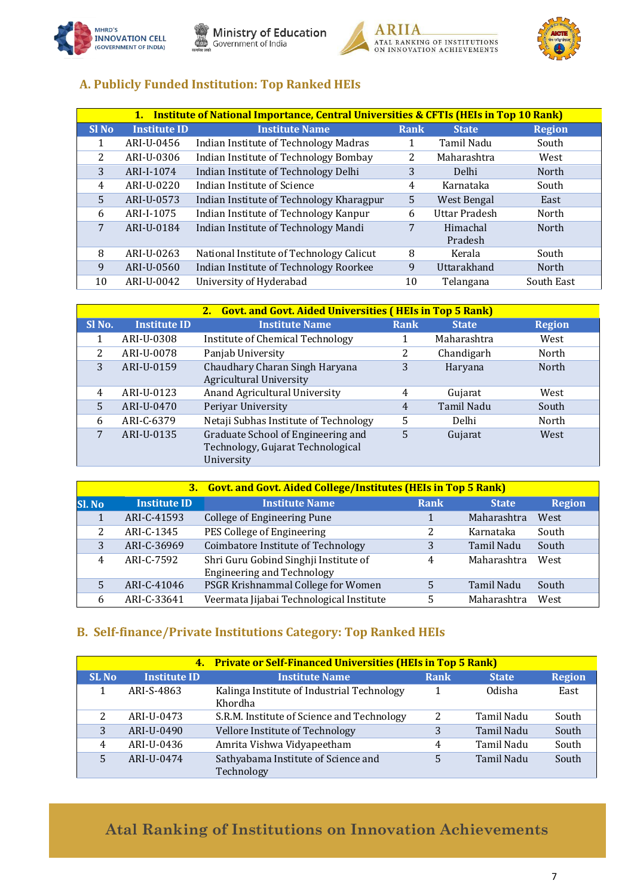







#### **A. Publicly Funded Institution: Top Ranked HEIs**

|              | <b>Institute of National Importance, Central Universities &amp; CFTIs (HEIs in Top 10 Rank)</b><br>1. |                                          |      |               |               |  |  |
|--------------|-------------------------------------------------------------------------------------------------------|------------------------------------------|------|---------------|---------------|--|--|
| <b>SI</b> No | <b>Institute ID</b>                                                                                   | <b>Institute Name</b>                    | Rank | <b>State</b>  | <b>Region</b> |  |  |
| 1            | ARI-U-0456                                                                                            | Indian Institute of Technology Madras    |      | Tamil Nadu    | South         |  |  |
| 2            | ARI-U-0306                                                                                            | Indian Institute of Technology Bombay    | 2    | Maharashtra   | West          |  |  |
| 3            | ARI-I-1074                                                                                            | Indian Institute of Technology Delhi     | 3    | Delhi         | North         |  |  |
| 4            | ARI-U-0220                                                                                            | Indian Institute of Science              | 4    | Karnataka     | South         |  |  |
| 5            | ARI-U-0573                                                                                            | Indian Institute of Technology Kharagpur | 5    | West Bengal   | East          |  |  |
| 6            | ARI-I-1075                                                                                            | Indian Institute of Technology Kanpur    | 6    | Uttar Pradesh | North         |  |  |
| 7            | ARI-U-0184                                                                                            | Indian Institute of Technology Mandi     | 7    | Himachal      | North         |  |  |
|              |                                                                                                       |                                          |      | Pradesh       |               |  |  |
| 8            | ARI-U-0263                                                                                            | National Institute of Technology Calicut | 8    | Kerala        | South         |  |  |
| 9            | ARI-U-0560                                                                                            | Indian Institute of Technology Roorkee   | 9    | Uttarakhand   | North         |  |  |
| 10           | ARI-U-0042                                                                                            | University of Hyderabad                  | 10   | Telangana     | South East    |  |  |

|                   | 2. Govt. and Govt. Aided Universities (HEIs in Top 5 Rank) |                                                                                       |      |              |               |  |
|-------------------|------------------------------------------------------------|---------------------------------------------------------------------------------------|------|--------------|---------------|--|
| Sl <sub>No.</sub> | <b>Institute ID</b>                                        | <b>Institute Name</b>                                                                 | Rank | <b>State</b> | <b>Region</b> |  |
|                   | ARI-U-0308                                                 | Institute of Chemical Technology                                                      |      | Maharashtra  | West          |  |
| 2                 | ARI-U-0078                                                 | Panjab University                                                                     | 2    | Chandigarh   | North         |  |
| 3                 | ARI-U-0159                                                 | Chaudhary Charan Singh Haryana<br><b>Agricultural University</b>                      | 3    | Haryana      | North         |  |
| 4                 | ARI-U-0123                                                 | Anand Agricultural University                                                         | 4    | Gujarat      | West          |  |
| 5                 | ARI-U-0470                                                 | Periyar University                                                                    | 4    | Tamil Nadu   | South         |  |
| 6                 | ARI-C-6379                                                 | Netaji Subhas Institute of Technology                                                 | 5    | Delhi        | North         |  |
| 7                 | ARI-U-0135                                                 | Graduate School of Engineering and<br>Technology, Gujarat Technological<br>University | 5    | Gujarat      | West          |  |

|        | <b>Govt. and Govt. Aided College/Institutes (HEIs in Top 5 Rank)</b><br>3. |                                                                            |      |              |               |  |
|--------|----------------------------------------------------------------------------|----------------------------------------------------------------------------|------|--------------|---------------|--|
| Sl. No | <b>Institute ID</b>                                                        | <b>Institute Name</b>                                                      | Rank | <b>State</b> | <b>Region</b> |  |
|        | ARI-C-41593                                                                | <b>College of Engineering Pune</b>                                         |      | Maharashtra  | West          |  |
| 2      | ARI-C-1345                                                                 | PES College of Engineering                                                 | 2    | Karnataka    | South         |  |
| 3      | ARI-C-36969                                                                | Coimbatore Institute of Technology                                         | 3    | Tamil Nadu   | South         |  |
| 4      | ARI-C-7592                                                                 | Shri Guru Gobind Singhji Institute of<br><b>Engineering and Technology</b> | 4    | Maharashtra  | West          |  |
| 5      | ARI-C-41046                                                                | PSGR Krishnammal College for Women                                         |      | Tamil Nadu   | South         |  |
| h      | ARI-C-33641                                                                | Veermata Jijabai Technological Institute                                   |      | Maharashtra  | West          |  |

#### **B. Self-finance/Private Institutions Category: Top Ranked HEIs**

|              | 4. Private or Self-Financed Universities (HEIs in Top 5 Rank) |                                                       |      |              |               |  |
|--------------|---------------------------------------------------------------|-------------------------------------------------------|------|--------------|---------------|--|
| <b>SL No</b> | <b>Institute ID</b>                                           | <b>Institute Name</b>                                 | Rank | <b>State</b> | <b>Region</b> |  |
|              | ARI-S-4863                                                    | Kalinga Institute of Industrial Technology<br>Khordha |      | Odisha       | East          |  |
| 2            | ARI-U-0473                                                    | S.R.M. Institute of Science and Technology            | 2    | Tamil Nadu   | South         |  |
| 3            | ARI-U-0490                                                    | Vellore Institute of Technology                       | 3    | Tamil Nadu   | South         |  |
| 4            | ARI-U-0436                                                    | Amrita Vishwa Vidyapeetham                            | 4    | Tamil Nadu   | South         |  |
| 5            | ARI-U-0474                                                    | Sathyabama Institute of Science and<br>Technology     | 5    | Tamil Nadu   | South         |  |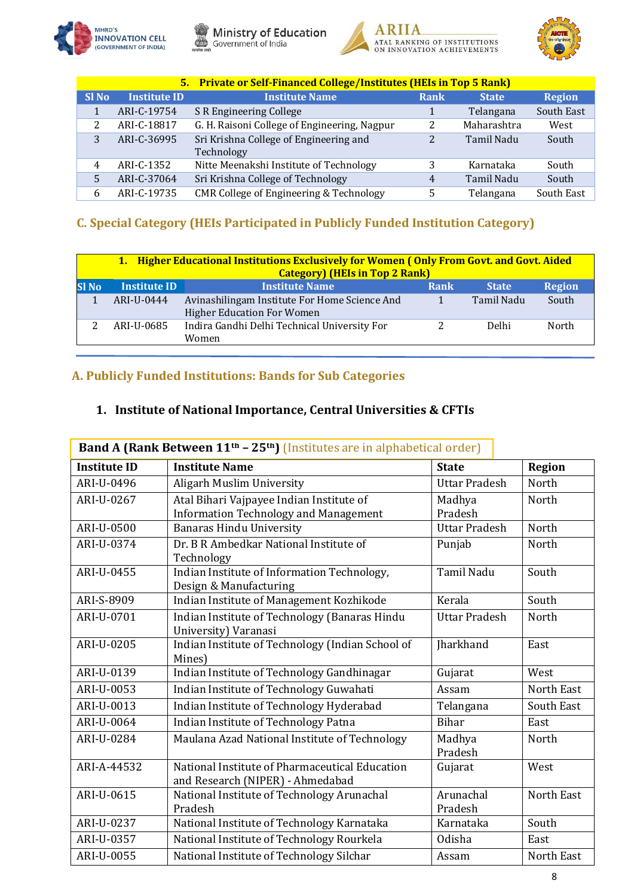







| 5. Private or Self-Financed College/Institutes (HEIs in Top 5 Rank) |                     |                                                      |      |              |               |
|---------------------------------------------------------------------|---------------------|------------------------------------------------------|------|--------------|---------------|
| <b>SI</b> No                                                        | <b>Institute ID</b> | <b>Institute Name</b>                                | Rank | <b>State</b> | <b>Region</b> |
|                                                                     | ARI-C-19754         | S R Engineering College                              |      | Telangana    | South East    |
|                                                                     | ARI-C-18817         | G. H. Raisoni College of Engineering, Nagpur         |      | Maharashtra  | West          |
| 3                                                                   | ARI-C-36995         | Sri Krishna College of Engineering and<br>Technology |      | Tamil Nadu   | South         |
| 4                                                                   | ARI-C-1352          | Nitte Meenakshi Institute of Technology              |      | Karnataka    | South         |
| 5                                                                   | ARI-C-37064         | Sri Krishna College of Technology                    | 4    | Tamil Nadu   | South         |
| 6                                                                   | ARI-C-19735         | CMR College of Engineering & Technology              |      | Telangana    | South East    |

#### **C. Special Category (HEIs Participated in Publicly Funded Institution Category)**

|       | 1. Higher Educational Institutions Exclusively for Women (Only From Govt. and Govt. Aided<br><b>Category</b> ) (HEIs in Top 2 Rank) |                                                                                    |      |              |               |  |  |
|-------|-------------------------------------------------------------------------------------------------------------------------------------|------------------------------------------------------------------------------------|------|--------------|---------------|--|--|
| SI No | Institute ID                                                                                                                        | <b>Institute Name</b>                                                              | Rank | <b>State</b> | <b>Region</b> |  |  |
|       | ARI-U-0444                                                                                                                          | Avinashilingam Institute For Home Science And<br><b>Higher Education For Women</b> |      | Tamil Nadu   | South         |  |  |
|       | ARI-U-0685                                                                                                                          | Indira Gandhi Delhi Technical University For<br>Women                              |      | Delhi        | North         |  |  |

#### **A. Publicly Funded Institutions: Bands for Sub Categories**

#### **1. Institute of National Importance, Central Universities & CFTIs**

| Band A (Rank Between 11 <sup>th</sup> - 25 <sup>th</sup> ) (Institutes are in alphabetical order) |                                                                                          |                      |                   |  |
|---------------------------------------------------------------------------------------------------|------------------------------------------------------------------------------------------|----------------------|-------------------|--|
| <b>Institute ID</b>                                                                               | <b>Institute Name</b>                                                                    | <b>State</b>         | <b>Region</b>     |  |
| ARI-U-0496                                                                                        | Aligarh Muslim University                                                                | <b>Uttar Pradesh</b> | North             |  |
| ARI-U-0267                                                                                        | Atal Bihari Vajpayee Indian Institute of<br><b>Information Technology and Management</b> | Madhya<br>Pradesh    | North             |  |
| ARI-U-0500                                                                                        | <b>Banaras Hindu University</b>                                                          | <b>Uttar Pradesh</b> | North             |  |
| ARI-U-0374                                                                                        | Dr. B R Ambedkar National Institute of<br>Technology                                     | Punjab               | North             |  |
| ARI-U-0455                                                                                        | Indian Institute of Information Technology,<br>Design & Manufacturing                    | Tamil Nadu           | South             |  |
| ARI-S-8909                                                                                        | Indian Institute of Management Kozhikode                                                 | Kerala               | South             |  |
| ARI-U-0701                                                                                        | Indian Institute of Technology (Banaras Hindu<br>University) Varanasi                    | <b>Uttar Pradesh</b> | North             |  |
| ARI-U-0205                                                                                        | Indian Institute of Technology (Indian School of<br>Mines)                               | <b>Iharkhand</b>     | East              |  |
| ARI-U-0139                                                                                        | Indian Institute of Technology Gandhinagar                                               | Gujarat              | West              |  |
| ARI-U-0053                                                                                        | Indian Institute of Technology Guwahati                                                  | Assam                | North East        |  |
| ARI-U-0013                                                                                        | Indian Institute of Technology Hyderabad                                                 | Telangana            | South East        |  |
| ARI-U-0064                                                                                        | Indian Institute of Technology Patna                                                     | <b>Bihar</b>         | East              |  |
| ARI-U-0284                                                                                        | Maulana Azad National Institute of Technology                                            | Madhya<br>Pradesh    | North             |  |
| ARI-A-44532                                                                                       | National Institute of Pharmaceutical Education<br>and Research (NIPER) - Ahmedabad       | Gujarat              | West              |  |
| ARI-U-0615                                                                                        | National Institute of Technology Arunachal<br>Pradesh                                    | Arunachal<br>Pradesh | <b>North East</b> |  |
| ARI-U-0237                                                                                        | National Institute of Technology Karnataka                                               | Karnataka            | South             |  |
| ARI-U-0357                                                                                        | National Institute of Technology Rourkela                                                | Odisha               | East              |  |
| ARI-U-0055                                                                                        | National Institute of Technology Silchar                                                 | Assam                | North East        |  |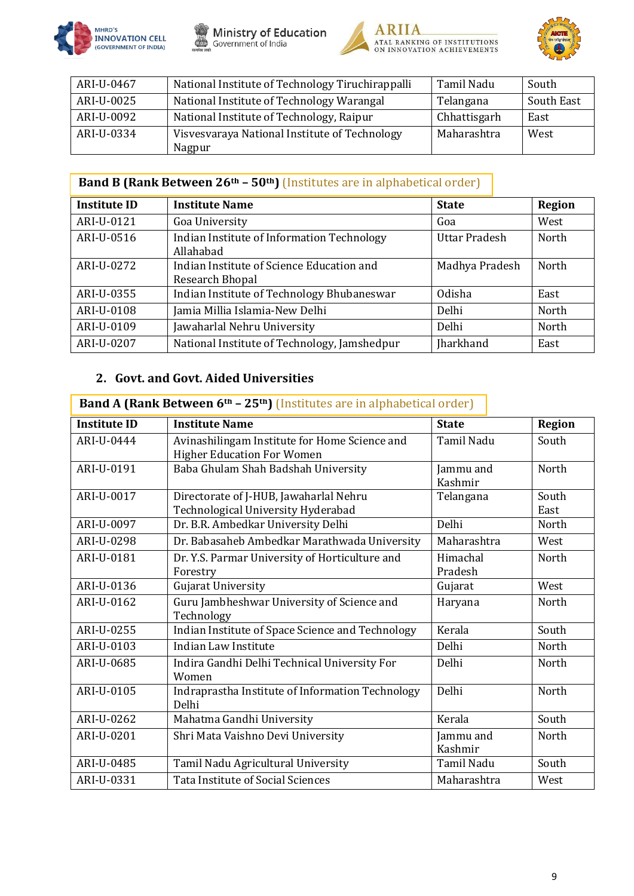







| ARI-U-0467 | National Institute of Technology Tiruchirappalli | Tamil Nadu   | South      |
|------------|--------------------------------------------------|--------------|------------|
| ARI-U-0025 | National Institute of Technology Warangal        | Telangana    | South East |
| ARI-U-0092 | National Institute of Technology, Raipur         | Chhattisgarh | East       |
| ARI-U-0334 | Visvesvaraya National Institute of Technology    | Maharashtra  | West       |
|            | Nagpur                                           |              |            |

## **Band B (Rank Between 26th – 50th)** (Institutes are in alphabetical order)

| Institute ID | <b>Institute Name</b>                                        | <b>State</b>     | Region |
|--------------|--------------------------------------------------------------|------------------|--------|
| ARI-U-0121   | Goa University                                               | Goa              | West   |
| ARI-U-0516   | Indian Institute of Information Technology<br>Allahabad      | Uttar Pradesh    | North  |
| ARI-U-0272   | Indian Institute of Science Education and<br>Research Bhopal | Madhya Pradesh   | North  |
| ARI-U-0355   | Indian Institute of Technology Bhubaneswar                   | <b>Odisha</b>    | East   |
| ARI-U-0108   | Jamia Millia Islamia-New Delhi                               | Delhi            | North  |
| ARI-U-0109   | Jawaharlal Nehru University                                  | Delhi            | North  |
| ARI-U-0207   | National Institute of Technology, Jamshedpur                 | <b>Iharkhand</b> | East   |

#### **2. Govt. and Govt. Aided Universities**

#### **Band A (Rank Between 6<sup>th</sup> – 25<sup>th</sup>) (Institutes are in alphabetical order)**

| <b>Institute ID</b> | <b>Institute Name</b>                                                              | <b>State</b>         | <b>Region</b> |
|---------------------|------------------------------------------------------------------------------------|----------------------|---------------|
| ARI-U-0444          | Avinashilingam Institute for Home Science and<br><b>Higher Education For Women</b> | Tamil Nadu           | South         |
| ARI-U-0191          | Baba Ghulam Shah Badshah University                                                | Jammu and<br>Kashmir | North         |
| ARI-U-0017          | Directorate of J-HUB, Jawaharlal Nehru<br>Technological University Hyderabad       | Telangana            | South<br>East |
| ARI-U-0097          | Dr. B.R. Ambedkar University Delhi                                                 | Delhi                | North         |
| ARI-U-0298          | Dr. Babasaheb Ambedkar Marathwada University                                       | Maharashtra          | West          |
| ARI-U-0181          | Dr. Y.S. Parmar University of Horticulture and<br>Forestry                         | Himachal<br>Pradesh  | North         |
| ARI-U-0136          | <b>Gujarat University</b>                                                          | Gujarat              | West          |
| ARI-U-0162          | Guru Jambheshwar University of Science and<br>Technology                           | Haryana              | North         |
| ARI-U-0255          | Indian Institute of Space Science and Technology                                   | Kerala               | South         |
| ARI-U-0103          | Indian Law Institute                                                               | Delhi                | North         |
| ARI-U-0685          | Indira Gandhi Delhi Technical University For<br>Women                              | Delhi                | North         |
| ARI-U-0105          | Indraprastha Institute of Information Technology<br>Delhi                          | Delhi                | North         |
| ARI-U-0262          | Mahatma Gandhi University                                                          | Kerala               | South         |
| ARI-U-0201          | Shri Mata Vaishno Devi University                                                  | Jammu and<br>Kashmir | North         |
| ARI-U-0485          | Tamil Nadu Agricultural University                                                 | Tamil Nadu           | South         |
| ARI-U-0331          | Tata Institute of Social Sciences                                                  | Maharashtra          | West          |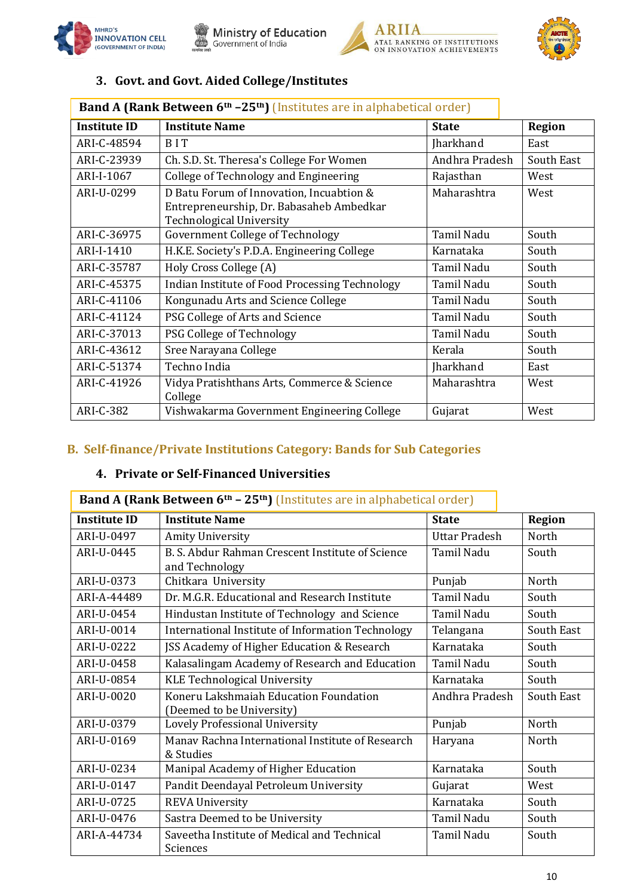





#### **3. Govt. and Govt. Aided College/Institutes**

## **Band A (Rank Between 6th –25th)** (Institutes are in alphabetical order)

| Institute ID | <b>Institute Name</b>                                                                                                   | <b>State</b>     | <b>Region</b> |
|--------------|-------------------------------------------------------------------------------------------------------------------------|------------------|---------------|
| ARI-C-48594  | BIT                                                                                                                     | <b>Iharkhand</b> | East          |
| ARI-C-23939  | Ch. S.D. St. Theresa's College For Women                                                                                | Andhra Pradesh   | South East    |
| ARI-I-1067   | College of Technology and Engineering                                                                                   | Rajasthan        | West          |
| ARI-U-0299   | D Batu Forum of Innovation, Incuabtion &<br>Entrepreneurship, Dr. Babasaheb Ambedkar<br><b>Technological University</b> | Maharashtra      | West          |
| ARI-C-36975  | <b>Government College of Technology</b>                                                                                 | Tamil Nadu       | South         |
| ARI-I-1410   | H.K.E. Society's P.D.A. Engineering College                                                                             | Karnataka        | South         |
| ARI-C-35787  | Holy Cross College (A)                                                                                                  | Tamil Nadu       | South         |
| ARI-C-45375  | Indian Institute of Food Processing Technology                                                                          | Tamil Nadu       | South         |
| ARI-C-41106  | Kongunadu Arts and Science College                                                                                      | Tamil Nadu       | South         |
| ARI-C-41124  | PSG College of Arts and Science                                                                                         | Tamil Nadu       | South         |
| ARI-C-37013  | PSG College of Technology                                                                                               | Tamil Nadu       | South         |
| ARI-C-43612  | Sree Narayana College                                                                                                   | Kerala           | South         |
| ARI-C-51374  | Techno India                                                                                                            | Jharkhand        | East          |
| ARI-C-41926  | Vidya Pratishthans Arts, Commerce & Science<br>College                                                                  | Maharashtra      | West          |
| ARI-C-382    | Vishwakarma Government Engineering College                                                                              | Gujarat          | West          |

#### **B. Self-finance/Private Institutions Category: Bands for Sub Categories**

#### **4. Private or Self-Financed Universities**

#### **Band A (Rank Between 6th – 25th)** (Institutes are in alphabetical order)

| <b>Institute ID</b> | <b>Institute Name</b>                                               | <b>State</b>         | <b>Region</b> |
|---------------------|---------------------------------------------------------------------|----------------------|---------------|
| ARI-U-0497          | <b>Amity University</b>                                             | <b>Uttar Pradesh</b> | North         |
| ARI-U-0445          | B. S. Abdur Rahman Crescent Institute of Science<br>and Technology  | <b>Tamil Nadu</b>    | South         |
| ARI-U-0373          | Chitkara University                                                 | Punjab               | North         |
| ARI-A-44489         | Dr. M.G.R. Educational and Research Institute                       | Tamil Nadu           | South         |
| ARI-U-0454          | Hindustan Institute of Technology and Science                       | Tamil Nadu           | South         |
| ARI-U-0014          | International Institute of Information Technology                   | Telangana            | South East    |
| ARI-U-0222          | JSS Academy of Higher Education & Research                          | Karnataka            | South         |
| ARI-U-0458          | Kalasalingam Academy of Research and Education                      | Tamil Nadu           | South         |
| ARI-U-0854          | <b>KLE Technological University</b>                                 | Karnataka            | South         |
| ARI-U-0020          | Koneru Lakshmaiah Education Foundation<br>(Deemed to be University) | Andhra Pradesh       | South East    |
| ARI-U-0379          | Lovely Professional University                                      | Punjab               | North         |
| ARI-U-0169          | Manav Rachna International Institute of Research<br>& Studies       | Haryana              | North         |
| ARI-U-0234          | Manipal Academy of Higher Education                                 | Karnataka            | South         |
| ARI-U-0147          | Pandit Deendayal Petroleum University                               | Gujarat              | West          |
| ARI-U-0725          | <b>REVA University</b>                                              | Karnataka            | South         |
| ARI-U-0476          | Sastra Deemed to be University                                      | Tamil Nadu           | South         |
| ARI-A-44734         | Saveetha Institute of Medical and Technical<br>Sciences             | Tamil Nadu           | South         |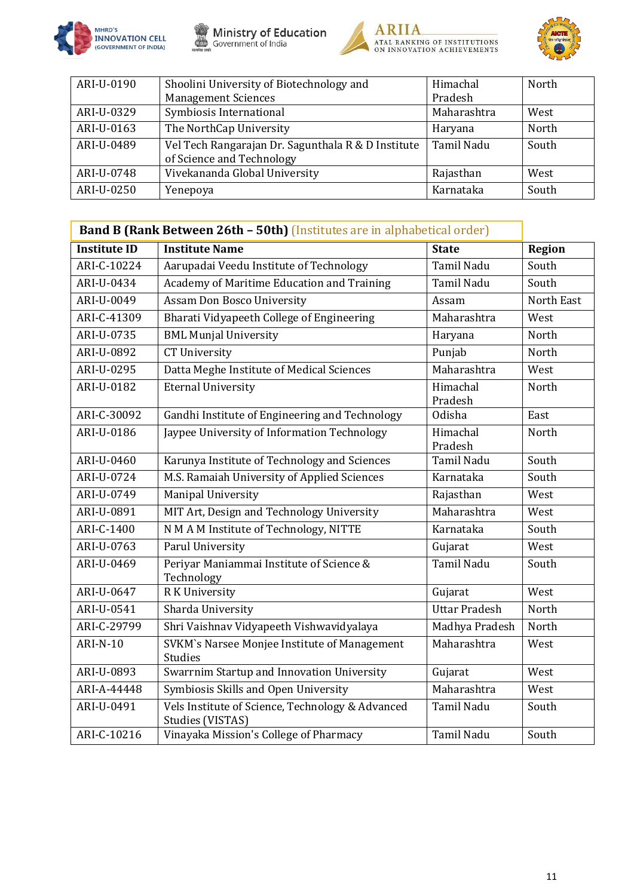







| ARI-U-0190 | Shoolini University of Biotechnology and           | Himachal    | North |
|------------|----------------------------------------------------|-------------|-------|
|            | <b>Management Sciences</b>                         | Pradesh     |       |
| ARI-U-0329 | Symbiosis International                            | Maharashtra | West  |
| ARI-U-0163 | The NorthCap University                            | Haryana     | North |
| ARI-U-0489 | Vel Tech Rangarajan Dr. Sagunthala R & D Institute | Tamil Nadu  | South |
|            | of Science and Technology                          |             |       |
| ARI-U-0748 | Vivekananda Global University                      | Rajasthan   | West  |
| ARI-U-0250 | Yenepoya                                           | Karnataka   | South |

| Band B (Rank Between 26th - 50th) (Institutes are in alphabetical order) |                                                                      |                      |                   |
|--------------------------------------------------------------------------|----------------------------------------------------------------------|----------------------|-------------------|
| <b>Institute ID</b>                                                      | <b>Institute Name</b>                                                | <b>State</b>         | <b>Region</b>     |
| ARI-C-10224                                                              | Aarupadai Veedu Institute of Technology                              | Tamil Nadu           | South             |
| ARI-U-0434                                                               | Academy of Maritime Education and Training                           | Tamil Nadu           | South             |
| ARI-U-0049                                                               | Assam Don Bosco University                                           | Assam                | <b>North East</b> |
| ARI-C-41309                                                              | Bharati Vidyapeeth College of Engineering                            | Maharashtra          | West              |
| ARI-U-0735                                                               | <b>BML Munjal University</b>                                         | Haryana              | North             |
| ARI-U-0892                                                               | <b>CT University</b>                                                 | Punjab               | North             |
| ARI-U-0295                                                               | Datta Meghe Institute of Medical Sciences                            | Maharashtra          | West              |
| ARI-U-0182                                                               | <b>Eternal University</b>                                            | Himachal<br>Pradesh  | North             |
| ARI-C-30092                                                              | Gandhi Institute of Engineering and Technology                       | Odisha               | East              |
| ARI-U-0186                                                               | Jaypee University of Information Technology                          | Himachal<br>Pradesh  | North             |
| ARI-U-0460                                                               | Karunya Institute of Technology and Sciences                         | Tamil Nadu           | South             |
| ARI-U-0724                                                               | M.S. Ramaiah University of Applied Sciences                          | Karnataka            | South             |
| ARI-U-0749                                                               | <b>Manipal University</b>                                            | Rajasthan            | West              |
| ARI-U-0891                                                               | MIT Art, Design and Technology University                            | Maharashtra          | West              |
| ARI-C-1400                                                               | N M A M Institute of Technology, NITTE                               | Karnataka            | South             |
| ARI-U-0763                                                               | Parul University                                                     | Gujarat              | West              |
| ARI-U-0469                                                               | Periyar Maniammai Institute of Science &<br>Technology               | Tamil Nadu           | South             |
| ARI-U-0647                                                               | R K University                                                       | Gujarat              | West              |
| ARI-U-0541                                                               | Sharda University                                                    | <b>Uttar Pradesh</b> | North             |
| ARI-C-29799                                                              | Shri Vaishnav Vidyapeeth Vishwavidyalaya                             | Madhya Pradesh       | North             |
| <b>ARI-N-10</b>                                                          | SVKM's Narsee Monjee Institute of Management<br>Studies              | Maharashtra          | West              |
| ARI-U-0893                                                               | Swarrnim Startup and Innovation University                           | Gujarat              | West              |
| ARI-A-44448                                                              | Symbiosis Skills and Open University                                 | Maharashtra          | West              |
| ARI-U-0491                                                               | Vels Institute of Science, Technology & Advanced<br>Studies (VISTAS) | Tamil Nadu           | South             |
| ARI-C-10216                                                              | Vinayaka Mission's College of Pharmacy                               | Tamil Nadu           | South             |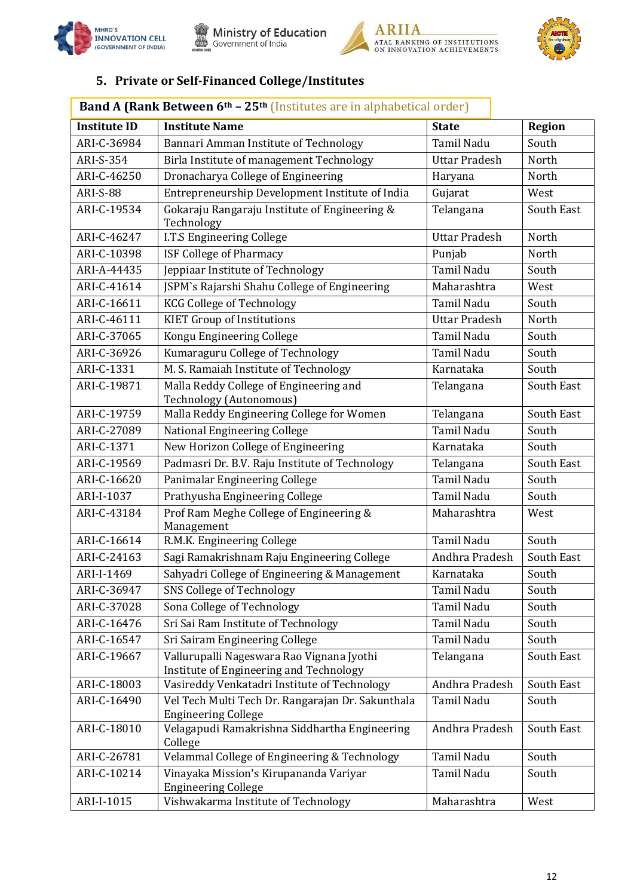







#### **5. Private or Self-Financed College/Institutes**

#### **Band A (Rank Between 6<sup>th</sup> – 25<sup>th</sup> (Institutes are in alphabetical order)**

| <b>Institute ID</b> | <b>Institute Name</b>                                                                | <b>State</b>         | <b>Region</b> |
|---------------------|--------------------------------------------------------------------------------------|----------------------|---------------|
| ARI-C-36984         | Bannari Amman Institute of Technology                                                | Tamil Nadu           | South         |
| ARI-S-354           | Birla Institute of management Technology                                             | <b>Uttar Pradesh</b> | North         |
| ARI-C-46250         | Dronacharya College of Engineering                                                   | Haryana              | North         |
| <b>ARI-S-88</b>     | Entrepreneurship Development Institute of India                                      | Gujarat              | West          |
| ARI-C-19534         | Gokaraju Rangaraju Institute of Engineering &<br>Technology                          | Telangana            | South East    |
| ARI-C-46247         | I.T.S Engineering College                                                            | <b>Uttar Pradesh</b> | North         |
| ARI-C-10398         | <b>ISF College of Pharmacy</b>                                                       | Punjab               | North         |
| ARI-A-44435         | Jeppiaar Institute of Technology                                                     | Tamil Nadu           | South         |
| ARI-C-41614         | JSPM's Rajarshi Shahu College of Engineering                                         | Maharashtra          | West          |
| ARI-C-16611         | <b>KCG College of Technology</b>                                                     | Tamil Nadu           | South         |
| ARI-C-46111         | <b>KIET Group of Institutions</b>                                                    | <b>Uttar Pradesh</b> | North         |
| ARI-C-37065         | Kongu Engineering College                                                            | Tamil Nadu           | South         |
| ARI-C-36926         | Kumaraguru College of Technology                                                     | Tamil Nadu           | South         |
| ARI-C-1331          | M. S. Ramaiah Institute of Technology                                                | Karnataka            | South         |
| ARI-C-19871         | Malla Reddy College of Engineering and<br><b>Technology (Autonomous)</b>             | Telangana            | South East    |
| ARI-C-19759         | Malla Reddy Engineering College for Women                                            | Telangana            | South East    |
| ARI-C-27089         | National Engineering College                                                         | Tamil Nadu           | South         |
| ARI-C-1371          | New Horizon College of Engineering                                                   | Karnataka            | South         |
| ARI-C-19569         | Padmasri Dr. B.V. Raju Institute of Technology                                       | Telangana            | South East    |
| ARI-C-16620         | Panimalar Engineering College                                                        | Tamil Nadu           | South         |
| ARI-I-1037          | Prathyusha Engineering College                                                       | Tamil Nadu           | South         |
| ARI-C-43184         | Prof Ram Meghe College of Engineering &<br>Management                                | Maharashtra          | West          |
| ARI-C-16614         | R.M.K. Engineering College                                                           | Tamil Nadu           | South         |
| ARI-C-24163         | Sagi Ramakrishnam Raju Engineering College                                           | Andhra Pradesh       | South East    |
| ARI-I-1469          | Sahyadri College of Engineering & Management                                         | Karnataka            | South         |
| ARI-C-36947         | SNS College of Technology                                                            | Tamil Nadu           | South         |
| ARI-C-37028         | Sona College of Technology                                                           | Tamil Nadu           | South         |
| ARI-C-16476         | Sri Sai Ram Institute of Technology                                                  | Tamil Nadu           | South         |
| ARI-C-16547         | Sri Sairam Engineering College                                                       | Tamil Nadu           | South         |
| ARI-C-19667         | Vallurupalli Nageswara Rao Vignana Jyothi<br>Institute of Engineering and Technology | Telangana            | South East    |
| ARI-C-18003         | Vasireddy Venkatadri Institute of Technology                                         | Andhra Pradesh       | South East    |
| ARI-C-16490         | Vel Tech Multi Tech Dr. Rangarajan Dr. Sakunthala<br><b>Engineering College</b>      | Tamil Nadu           | South         |
| ARI-C-18010         | Velagapudi Ramakrishna Siddhartha Engineering<br>College                             | Andhra Pradesh       | South East    |
| ARI-C-26781         | Velammal College of Engineering & Technology                                         | Tamil Nadu           | South         |
| ARI-C-10214         | Vinayaka Mission's Kirupananda Variyar<br><b>Engineering College</b>                 | Tamil Nadu           | South         |
| ARI-I-1015          | Vishwakarma Institute of Technology                                                  | Maharashtra          | West          |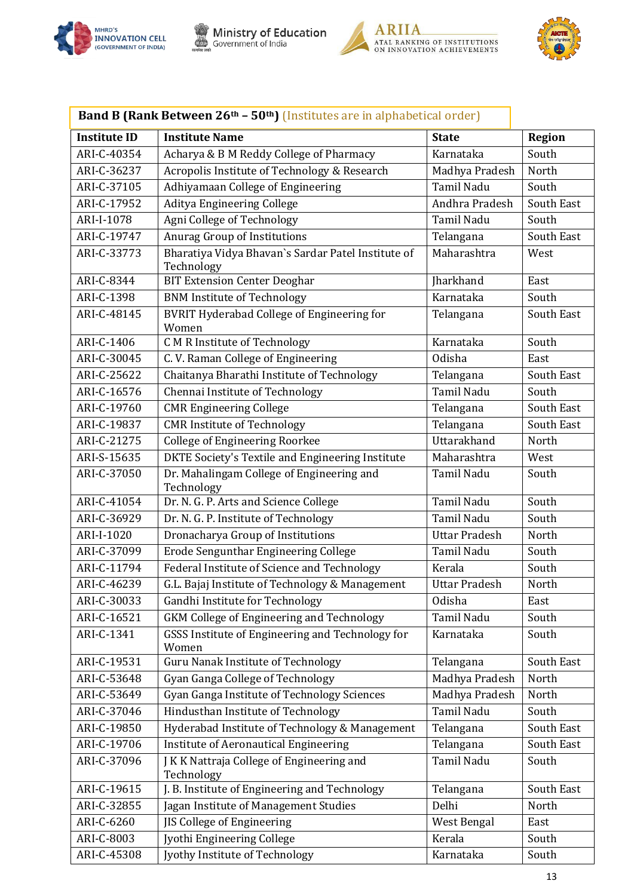







| Band B (Rank Between 26 <sup>th</sup> – 50 <sup>th</sup> ) (Institutes are in alphabetical order) |                                                                  |                      |                   |
|---------------------------------------------------------------------------------------------------|------------------------------------------------------------------|----------------------|-------------------|
| <b>Institute ID</b>                                                                               | <b>Institute Name</b>                                            | <b>State</b>         | <b>Region</b>     |
| ARI-C-40354                                                                                       | Acharya & B M Reddy College of Pharmacy                          | Karnataka            | South             |
| ARI-C-36237                                                                                       | Acropolis Institute of Technology & Research                     | Madhya Pradesh       | North             |
| ARI-C-37105                                                                                       | Adhiyamaan College of Engineering                                | Tamil Nadu           | South             |
| ARI-C-17952                                                                                       | Aditya Engineering College                                       | Andhra Pradesh       | South East        |
| ARI-I-1078                                                                                        | Agni College of Technology                                       | <b>Tamil Nadu</b>    | South             |
| ARI-C-19747                                                                                       | Anurag Group of Institutions                                     | Telangana            | South East        |
| ARI-C-33773                                                                                       | Bharatiya Vidya Bhavan's Sardar Patel Institute of<br>Technology | Maharashtra          | West              |
| ARI-C-8344                                                                                        | <b>BIT Extension Center Deoghar</b>                              | Jharkhand            | East              |
| ARI-C-1398                                                                                        | <b>BNM Institute of Technology</b>                               | Karnataka            | South             |
| ARI-C-48145                                                                                       | <b>BVRIT Hyderabad College of Engineering for</b><br>Women       | Telangana            | South East        |
| ARI-C-1406                                                                                        | <b>CM R Institute of Technology</b>                              | Karnataka            | South             |
| ARI-C-30045                                                                                       | C. V. Raman College of Engineering                               | Odisha               | East              |
| ARI-C-25622                                                                                       | Chaitanya Bharathi Institute of Technology                       | Telangana            | South East        |
| ARI-C-16576                                                                                       | Chennai Institute of Technology                                  | Tamil Nadu           | South             |
| ARI-C-19760                                                                                       | <b>CMR Engineering College</b>                                   | Telangana            | South East        |
| ARI-C-19837                                                                                       | <b>CMR Institute of Technology</b>                               | Telangana            | South East        |
| ARI-C-21275                                                                                       | <b>College of Engineering Roorkee</b>                            | Uttarakhand          | North             |
| ARI-S-15635                                                                                       | DKTE Society's Textile and Engineering Institute                 | Maharashtra          | West              |
| ARI-C-37050                                                                                       | Dr. Mahalingam College of Engineering and<br>Technology          | Tamil Nadu           | South             |
| ARI-C-41054                                                                                       | Dr. N. G. P. Arts and Science College                            | Tamil Nadu           | South             |
| ARI-C-36929                                                                                       | Dr. N. G. P. Institute of Technology                             | Tamil Nadu           | South             |
| ARI-I-1020                                                                                        | Dronacharya Group of Institutions                                | <b>Uttar Pradesh</b> | North             |
| ARI-C-37099                                                                                       | <b>Erode Sengunthar Engineering College</b>                      | Tamil Nadu           | South             |
| ARI-C-11794                                                                                       | Federal Institute of Science and Technology                      | Kerala               | South             |
| ARI-C-46239                                                                                       | G.L. Bajaj Institute of Technology & Management                  | <b>Uttar Pradesh</b> | North             |
| ARI-C-30033                                                                                       | Gandhi Institute for Technology                                  | Odisha               | East              |
| ARI-C-16521                                                                                       | <b>GKM College of Engineering and Technology</b>                 | Tamil Nadu           | South             |
| ARI-C-1341                                                                                        | GSSS Institute of Engineering and Technology for<br>Women        | Karnataka            | South             |
| ARI-C-19531                                                                                       | <b>Guru Nanak Institute of Technology</b>                        | Telangana            | <b>South East</b> |
| ARI-C-53648                                                                                       | Gyan Ganga College of Technology                                 | Madhya Pradesh       | North             |
| ARI-C-53649                                                                                       | Gyan Ganga Institute of Technology Sciences                      | Madhya Pradesh       | North             |
| ARI-C-37046                                                                                       | Hindusthan Institute of Technology                               | Tamil Nadu           | South             |
| ARI-C-19850                                                                                       | Hyderabad Institute of Technology & Management                   | Telangana            | South East        |
| ARI-C-19706                                                                                       | <b>Institute of Aeronautical Engineering</b>                     | Telangana            | South East        |
| ARI-C-37096                                                                                       | J K K Nattraja College of Engineering and<br>Technology          | Tamil Nadu           | South             |
| ARI-C-19615                                                                                       | J. B. Institute of Engineering and Technology                    | Telangana            | South East        |
| ARI-C-32855                                                                                       | Jagan Institute of Management Studies                            | Delhi                | North             |
| ARI-C-6260                                                                                        | JIS College of Engineering                                       | West Bengal          | East              |
| ARI-C-8003                                                                                        | Jyothi Engineering College                                       | Kerala               | South             |
| ARI-C-45308                                                                                       | Jyothy Institute of Technology                                   | Karnataka            | South             |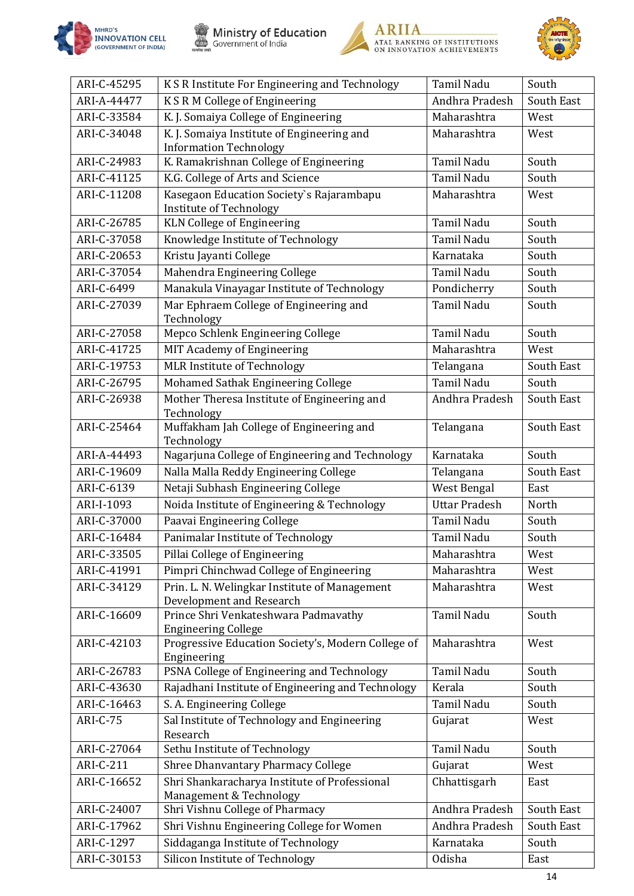







| ARI-C-45295     | K S R Institute For Engineering and Technology                            | Tamil Nadu           | South      |
|-----------------|---------------------------------------------------------------------------|----------------------|------------|
| ARI-A-44477     | K S R M College of Engineering                                            | Andhra Pradesh       | South East |
| ARI-C-33584     | K. J. Somaiya College of Engineering                                      | Maharashtra          | West       |
| ARI-C-34048     | K. J. Somaiya Institute of Engineering and                                | Maharashtra          | West       |
|                 | <b>Information Technology</b>                                             |                      |            |
| ARI-C-24983     | K. Ramakrishnan College of Engineering                                    | Tamil Nadu           | South      |
| ARI-C-41125     | K.G. College of Arts and Science                                          | <b>Tamil Nadu</b>    | South      |
| ARI-C-11208     | Kasegaon Education Society's Rajarambapu<br>Institute of Technology       | Maharashtra          | West       |
| ARI-C-26785     | <b>KLN College of Engineering</b>                                         | Tamil Nadu           | South      |
| ARI-C-37058     | Knowledge Institute of Technology                                         | Tamil Nadu           | South      |
| ARI-C-20653     | Kristu Jayanti College                                                    | Karnataka            | South      |
| ARI-C-37054     | Mahendra Engineering College                                              | Tamil Nadu           | South      |
| ARI-C-6499      | Manakula Vinayagar Institute of Technology                                | Pondicherry          | South      |
| ARI-C-27039     | Mar Ephraem College of Engineering and<br>Technology                      | Tamil Nadu           | South      |
| ARI-C-27058     | Mepco Schlenk Engineering College                                         | Tamil Nadu           | South      |
| ARI-C-41725     | MIT Academy of Engineering                                                | Maharashtra          | West       |
| ARI-C-19753     | MLR Institute of Technology                                               | Telangana            | South East |
| ARI-C-26795     | Mohamed Sathak Engineering College                                        | Tamil Nadu           | South      |
| ARI-C-26938     | Mother Theresa Institute of Engineering and<br>Technology                 | Andhra Pradesh       | South East |
| ARI-C-25464     | Muffakham Jah College of Engineering and<br>Technology                    | Telangana            | South East |
| ARI-A-44493     | Nagarjuna College of Engineering and Technology                           | Karnataka            | South      |
| ARI-C-19609     | Nalla Malla Reddy Engineering College                                     | Telangana            | South East |
| ARI-C-6139      | Netaji Subhash Engineering College                                        | <b>West Bengal</b>   | East       |
| ARI-I-1093      | Noida Institute of Engineering & Technology                               | <b>Uttar Pradesh</b> | North      |
| ARI-C-37000     | Paavai Engineering College                                                | Tamil Nadu           | South      |
| ARI-C-16484     | Panimalar Institute of Technology                                         | Tamil Nadu           | South      |
| ARI-C-33505     | Pillai College of Engineering                                             | Maharashtra          | West       |
| ARI-C-41991     | Pimpri Chinchwad College of Engineering                                   | Maharashtra          | West       |
| ARI-C-34129     | Prin. L. N. Welingkar Institute of Management<br>Development and Research | Maharashtra          | West       |
| ARI-C-16609     | Prince Shri Venkateshwara Padmavathy<br><b>Engineering College</b>        | Tamil Nadu           | South      |
| ARI-C-42103     | Progressive Education Society's, Modern College of<br>Engineering         | Maharashtra          | West       |
| ARI-C-26783     | PSNA College of Engineering and Technology                                | Tamil Nadu           | South      |
| ARI-C-43630     | Rajadhani Institute of Engineering and Technology                         | Kerala               | South      |
| ARI-C-16463     | S. A. Engineering College                                                 | Tamil Nadu           | South      |
| <b>ARI-C-75</b> | Sal Institute of Technology and Engineering<br>Research                   | Gujarat              | West       |
| ARI-C-27064     | Sethu Institute of Technology                                             | Tamil Nadu           | South      |
| ARI-C-211       | <b>Shree Dhanvantary Pharmacy College</b>                                 | Gujarat              | West       |
| ARI-C-16652     | Shri Shankaracharya Institute of Professional                             | Chhattisgarh         | East       |
|                 | Management & Technology                                                   |                      |            |
| ARI-C-24007     | Shri Vishnu College of Pharmacy                                           | Andhra Pradesh       | South East |
| ARI-C-17962     | Shri Vishnu Engineering College for Women                                 | Andhra Pradesh       | South East |
| ARI-C-1297      | Siddaganga Institute of Technology                                        | Karnataka            | South      |
| ARI-C-30153     | Silicon Institute of Technology                                           | Odisha               | East       |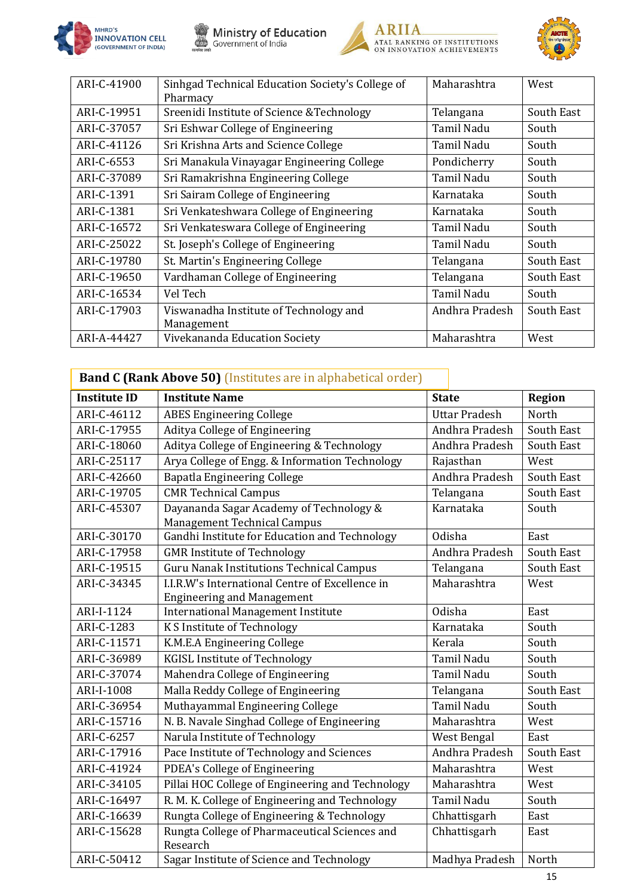







| ARI-C-41900 | Sinhgad Technical Education Society's College of     | Maharashtra       | West       |
|-------------|------------------------------------------------------|-------------------|------------|
|             | Pharmacy                                             |                   |            |
| ARI-C-19951 | Sreenidi Institute of Science & Technology           | Telangana         | South East |
| ARI-C-37057 | Sri Eshwar College of Engineering                    | Tamil Nadu        | South      |
| ARI-C-41126 | Sri Krishna Arts and Science College                 | Tamil Nadu        | South      |
| ARI-C-6553  | Sri Manakula Vinayagar Engineering College           | Pondicherry       | South      |
| ARI-C-37089 | Sri Ramakrishna Engineering College                  | Tamil Nadu        | South      |
| ARI-C-1391  | Sri Sairam College of Engineering                    | Karnataka         | South      |
| ARI-C-1381  | Sri Venkateshwara College of Engineering             | Karnataka         | South      |
| ARI-C-16572 | Sri Venkateswara College of Engineering              | Tamil Nadu        | South      |
| ARI-C-25022 | St. Joseph's College of Engineering                  | Tamil Nadu        | South      |
| ARI-C-19780 | St. Martin's Engineering College                     | Telangana         | South East |
| ARI-C-19650 | Vardhaman College of Engineering                     | Telangana         | South East |
| ARI-C-16534 | Vel Tech                                             | <b>Tamil Nadu</b> | South      |
| ARI-C-17903 | Viswanadha Institute of Technology and<br>Management | Andhra Pradesh    | South East |
| ARI-A-44427 | Vivekananda Education Society                        | Maharashtra       | West       |

## **Band C (Rank Above 50)** (Institutes are in alphabetical order)

| <b>Institute ID</b> | <b>Institute Name</b>                                                         | <b>State</b>         | <b>Region</b> |
|---------------------|-------------------------------------------------------------------------------|----------------------|---------------|
| ARI-C-46112         | <b>ABES Engineering College</b>                                               | <b>Uttar Pradesh</b> | North         |
| ARI-C-17955         | Aditya College of Engineering                                                 | Andhra Pradesh       | South East    |
| ARI-C-18060         | Aditya College of Engineering & Technology                                    | Andhra Pradesh       | South East    |
| ARI-C-25117         | Arya College of Engg. & Information Technology                                | Rajasthan            | West          |
| ARI-C-42660         | <b>Bapatla Engineering College</b>                                            | Andhra Pradesh       | South East    |
| ARI-C-19705         | <b>CMR Technical Campus</b>                                                   | Telangana            | South East    |
| ARI-C-45307         | Dayananda Sagar Academy of Technology &<br><b>Management Technical Campus</b> | Karnataka            | South         |
| ARI-C-30170         | Gandhi Institute for Education and Technology                                 | <b>Odisha</b>        | East          |
| ARI-C-17958         | <b>GMR Institute of Technology</b>                                            | Andhra Pradesh       | South East    |
| ARI-C-19515         | <b>Guru Nanak Institutions Technical Campus</b>                               | Telangana            | South East    |
| ARI-C-34345         | I.I.R.W's International Centre of Excellence in                               | Maharashtra          | West          |
|                     | <b>Engineering and Management</b>                                             |                      |               |
| ARI-I-1124          | <b>International Management Institute</b>                                     | Odisha               | East          |
| ARI-C-1283          | K S Institute of Technology                                                   | Karnataka            | South         |
| ARI-C-11571         | K.M.E.A Engineering College                                                   | Kerala               | South         |
| ARI-C-36989         | <b>KGISL Institute of Technology</b>                                          | Tamil Nadu           | South         |
| ARI-C-37074         | Mahendra College of Engineering                                               | Tamil Nadu           | South         |
| ARI-I-1008          | Malla Reddy College of Engineering                                            | Telangana            | South East    |
| ARI-C-36954         | Muthayammal Engineering College                                               | Tamil Nadu           | South         |
| ARI-C-15716         | N. B. Navale Singhad College of Engineering                                   | Maharashtra          | West          |
| ARI-C-6257          | Narula Institute of Technology                                                | <b>West Bengal</b>   | East          |
| ARI-C-17916         | Pace Institute of Technology and Sciences                                     | Andhra Pradesh       | South East    |
| ARI-C-41924         | PDEA's College of Engineering                                                 | Maharashtra          | West          |
| ARI-C-34105         | Pillai HOC College of Engineering and Technology                              | Maharashtra          | West          |
| ARI-C-16497         | R. M. K. College of Engineering and Technology                                | Tamil Nadu           | South         |
| ARI-C-16639         | Rungta College of Engineering & Technology                                    | Chhattisgarh         | East          |
| ARI-C-15628         | Rungta College of Pharmaceutical Sciences and<br>Research                     | Chhattisgarh         | East          |
| ARI-C-50412         | Sagar Institute of Science and Technology                                     | Madhya Pradesh       | North         |